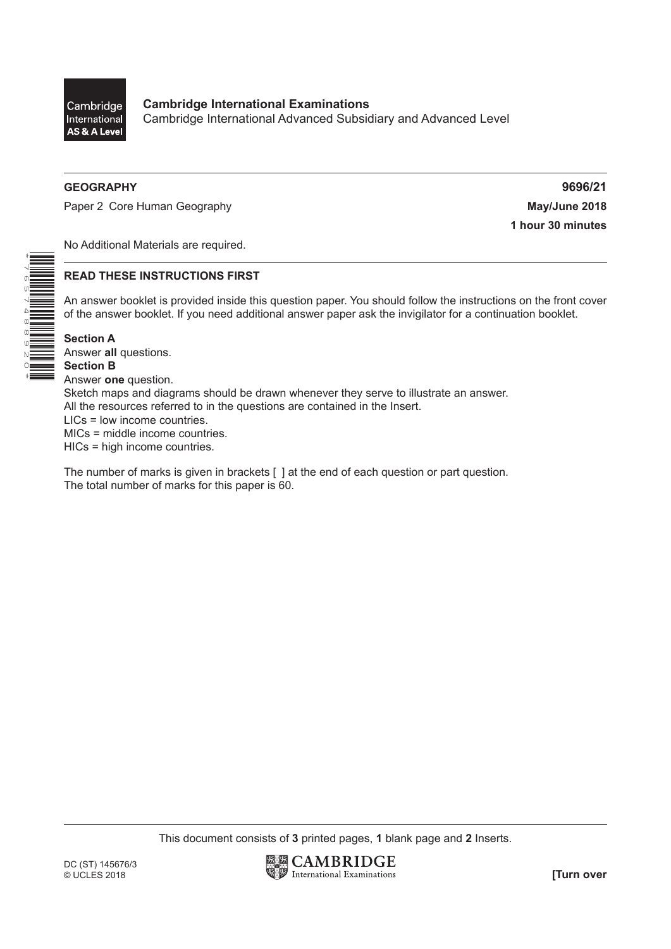

\*7657488920\*

Paper 2 Core Human Geography **May/June 2018** 

**GEOGRAPHY 9696/21 1 hour 30 minutes**

No Additional Materials are required.

## **READ THESE INSTRUCTIONS FIRST**

An answer booklet is provided inside this question paper. You should follow the instructions on the front cover of the answer booklet. If you need additional answer paper ask the invigilator for a continuation booklet.

**Section A** Answer **all** questions. **Section B** Answer **one** question. Sketch maps and diagrams should be drawn whenever they serve to illustrate an answer. All the resources referred to in the questions are contained in the Insert. LICs = low income countries. MICs = middle income countries. HICs = high income countries.

The number of marks is given in brackets [ ] at the end of each question or part question. The total number of marks for this paper is 60.

This document consists of **3** printed pages, **1** blank page and **2** Inserts.

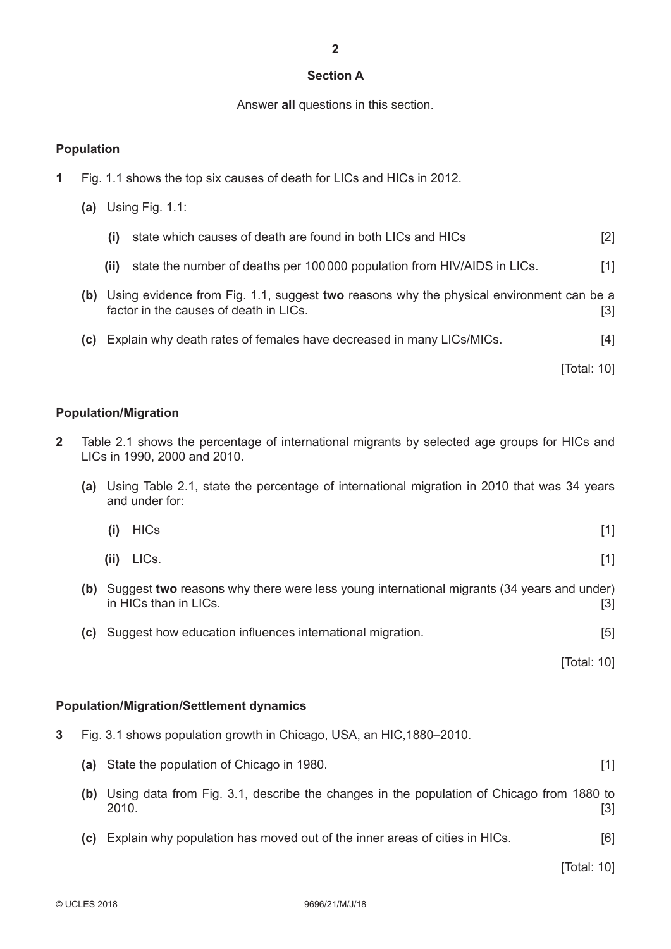#### **Section A**

Answer **all** questions in this section.

## **Population**

- **1** Fig. 1.1 shows the top six causes of death for LICs and HICs in 2012.
	- **(a)** Using Fig. 1.1:
		- **(i)** state which causes of death are found in both LICs and HICs [2]
		- **(ii)** state the number of deaths per 100000 population from HIV/AIDS in LICs. [1]
	- **(b)** Using evidence from Fig. 1.1, suggest **two** reasons why the physical environment can be a factor in the causes of death in LICs. [3] [3]
	- **(c)** Explain why death rates of females have decreased in many LICs/MICs. [4]

[Total: 10]

# **Population/Migration**

- **2** Table 2.1 shows the percentage of international migrants by selected age groups for HICs and LICs in 1990, 2000 and 2010.
	- **(a)** Using Table 2.1, state the percentage of international migration in 2010 that was 34 years and under for:
- **(i)** HICs [1]
- **(ii)** LICs. [1]
	- **(b)** Suggest **two** reasons why there were less young international migrants (34 years and under) in HICs than in LICs. [3]
	- **(c)** Suggest how education influences international migration. [5]

[Total: 10]

# **Population/Migration/Settlement dynamics**

| Fig. 3.1 shows population growth in Chicago, USA, an HIC, 1880–2010. |  |
|----------------------------------------------------------------------|--|
| (a) State the population of Chicago in 1980.                         |  |

- **(b)** Using data from Fig. 3.1, describe the changes in the population of Chicago from 1880 to 2010. [3]
- **(c)** Explain why population has moved out of the inner areas of cities in HICs. [6]

[Total: 10]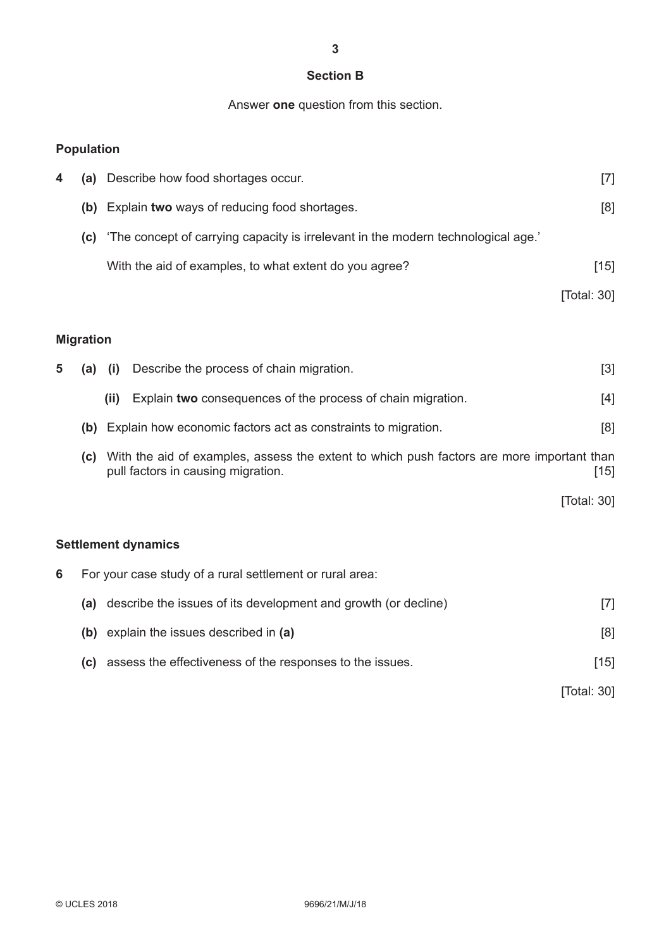## **Section B**

**3**

#### Answer **one** question from this section.

## **Population**

| 4                                                                 | (a)              |      | Describe how food shortages occur.                                                | $[7]$                      |
|-------------------------------------------------------------------|------------------|------|-----------------------------------------------------------------------------------|----------------------------|
|                                                                   | (b)              |      | Explain two ways of reducing food shortages.                                      | [8]                        |
|                                                                   | (c)              |      | 'The concept of carrying capacity is irrelevant in the modern technological age.' |                            |
|                                                                   |                  |      | With the aid of examples, to what extent do you agree?                            | $[15]$                     |
|                                                                   |                  |      |                                                                                   | $\sqrt{\text{Total: } 30}$ |
|                                                                   | <b>Migration</b> |      |                                                                                   |                            |
| 5                                                                 | (a)              | (i)  | Describe the process of chain migration.                                          | $[3]$                      |
|                                                                   |                  | (ii) | Explain two consequences of the process of chain migration.                       | [4]                        |
| (b) Explain how economic factors act as constraints to migration. |                  |      |                                                                                   |                            |

**(c)** With the aid of examples, assess the extent to which push factors are more important than pull factors in causing migration. **Example 20** is the contract of the contract of the contract of the contract of the contract of the contract of the contract of the contract of the contract of the contract of the contrac

[Total: 30]

# **Settlement dynamics**

| 6 | For your case study of a rural settlement or rural area:                   |             |  |  |  |  |  |
|---|----------------------------------------------------------------------------|-------------|--|--|--|--|--|
|   | describe the issues of its development and growth (or decline)<br>(a)      | 171         |  |  |  |  |  |
|   | explain the issues described in (a)<br>(b)                                 | [8]         |  |  |  |  |  |
|   | assess the effectiveness of the responses to the issues.<br>$\mathbf{(c)}$ | $[15]$      |  |  |  |  |  |
|   |                                                                            | [Total: 30] |  |  |  |  |  |